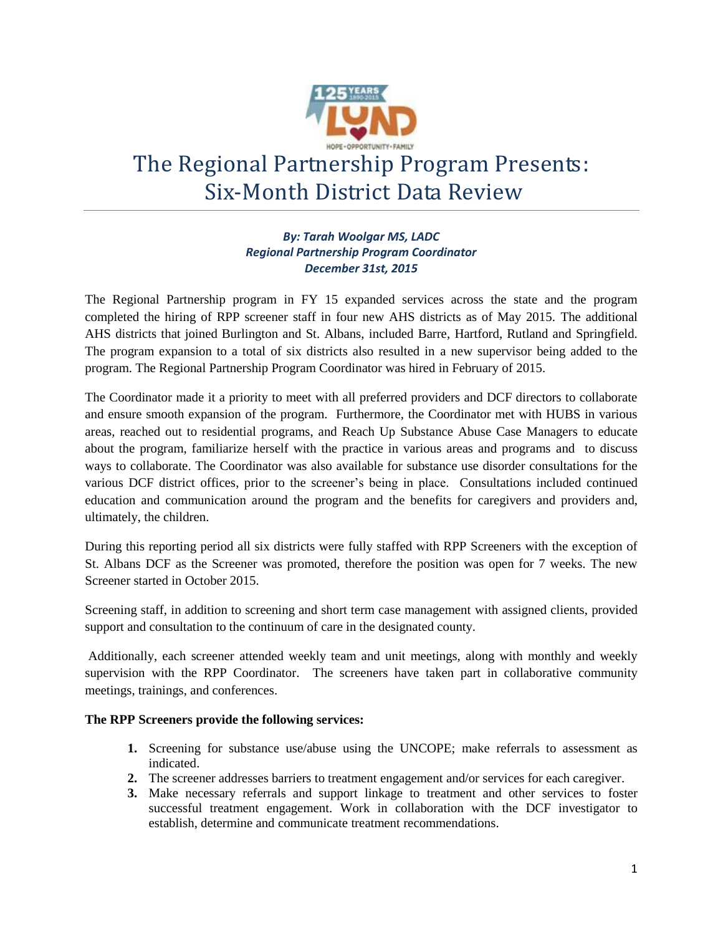

# The Regional Partnership Program Presents: Six-Month District Data Review

# *By: Tarah Woolgar MS, LADC Regional Partnership Program Coordinator December 31st, 2015*

The Regional Partnership program in FY 15 expanded services across the state and the program completed the hiring of RPP screener staff in four new AHS districts as of May 2015. The additional AHS districts that joined Burlington and St. Albans, included Barre, Hartford, Rutland and Springfield. The program expansion to a total of six districts also resulted in a new supervisor being added to the program. The Regional Partnership Program Coordinator was hired in February of 2015.

The Coordinator made it a priority to meet with all preferred providers and DCF directors to collaborate and ensure smooth expansion of the program. Furthermore, the Coordinator met with HUBS in various areas, reached out to residential programs, and Reach Up Substance Abuse Case Managers to educate about the program, familiarize herself with the practice in various areas and programs and to discuss ways to collaborate. The Coordinator was also available for substance use disorder consultations for the various DCF district offices, prior to the screener's being in place. Consultations included continued education and communication around the program and the benefits for caregivers and providers and, ultimately, the children.

During this reporting period all six districts were fully staffed with RPP Screeners with the exception of St. Albans DCF as the Screener was promoted, therefore the position was open for 7 weeks. The new Screener started in October 2015.

Screening staff, in addition to screening and short term case management with assigned clients, provided support and consultation to the continuum of care in the designated county.

Additionally, each screener attended weekly team and unit meetings, along with monthly and weekly supervision with the RPP Coordinator. The screeners have taken part in collaborative community meetings, trainings, and conferences.

# **The RPP Screeners provide the following services:**

- **1.** Screening for substance use/abuse using the UNCOPE; make referrals to assessment as indicated.
- **2.** The screener addresses barriers to treatment engagement and/or services for each caregiver.
- **3.** Make necessary referrals and support linkage to treatment and other services to foster successful treatment engagement. Work in collaboration with the DCF investigator to establish, determine and communicate treatment recommendations.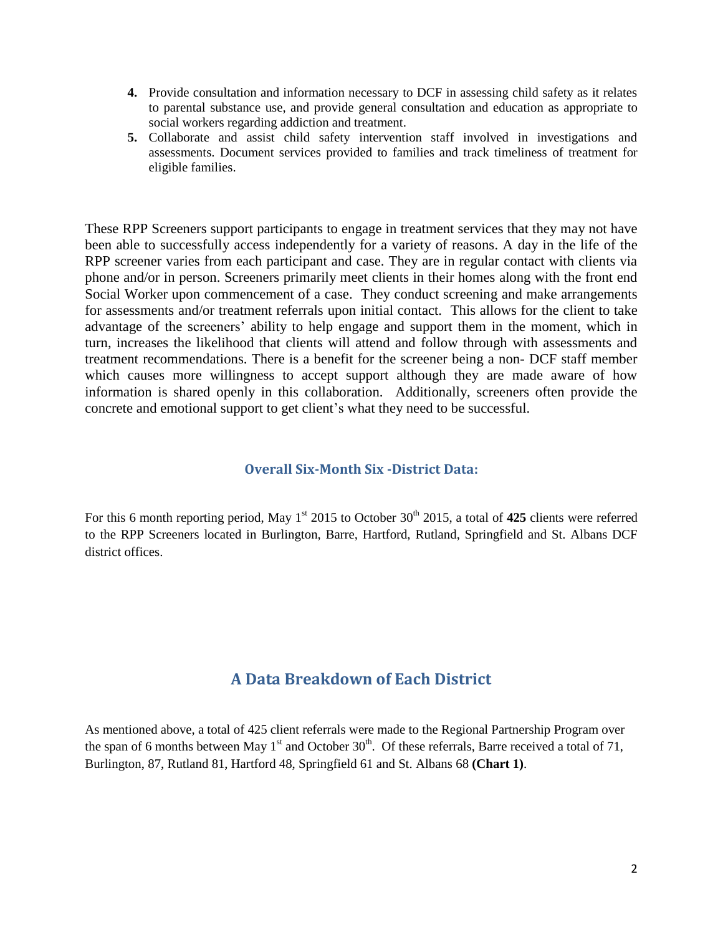- **4.** Provide consultation and information necessary to DCF in assessing child safety as it relates to parental substance use, and provide general consultation and education as appropriate to social workers regarding addiction and treatment.
- **5.** Collaborate and assist child safety intervention staff involved in investigations and assessments. Document services provided to families and track timeliness of treatment for eligible families.

These RPP Screeners support participants to engage in treatment services that they may not have been able to successfully access independently for a variety of reasons. A day in the life of the RPP screener varies from each participant and case. They are in regular contact with clients via phone and/or in person. Screeners primarily meet clients in their homes along with the front end Social Worker upon commencement of a case. They conduct screening and make arrangements for assessments and/or treatment referrals upon initial contact. This allows for the client to take advantage of the screeners' ability to help engage and support them in the moment, which in turn, increases the likelihood that clients will attend and follow through with assessments and treatment recommendations. There is a benefit for the screener being a non- DCF staff member which causes more willingness to accept support although they are made aware of how information is shared openly in this collaboration. Additionally, screeners often provide the concrete and emotional support to get client's what they need to be successful.

# **Overall Six-Month Six -District Data:**

For this 6 month reporting period, May 1<sup>st</sup> 2015 to October 30<sup>th</sup> 2015, a total of 425 clients were referred to the RPP Screeners located in Burlington, Barre, Hartford, Rutland, Springfield and St. Albans DCF district offices.

# **A Data Breakdown of Each District**

As mentioned above, a total of 425 client referrals were made to the Regional Partnership Program over the span of 6 months between May  $1<sup>st</sup>$  and October 30<sup>th</sup>. Of these referrals, Barre received a total of 71, Burlington, 87, Rutland 81, Hartford 48, Springfield 61 and St. Albans 68 **(Chart 1)**.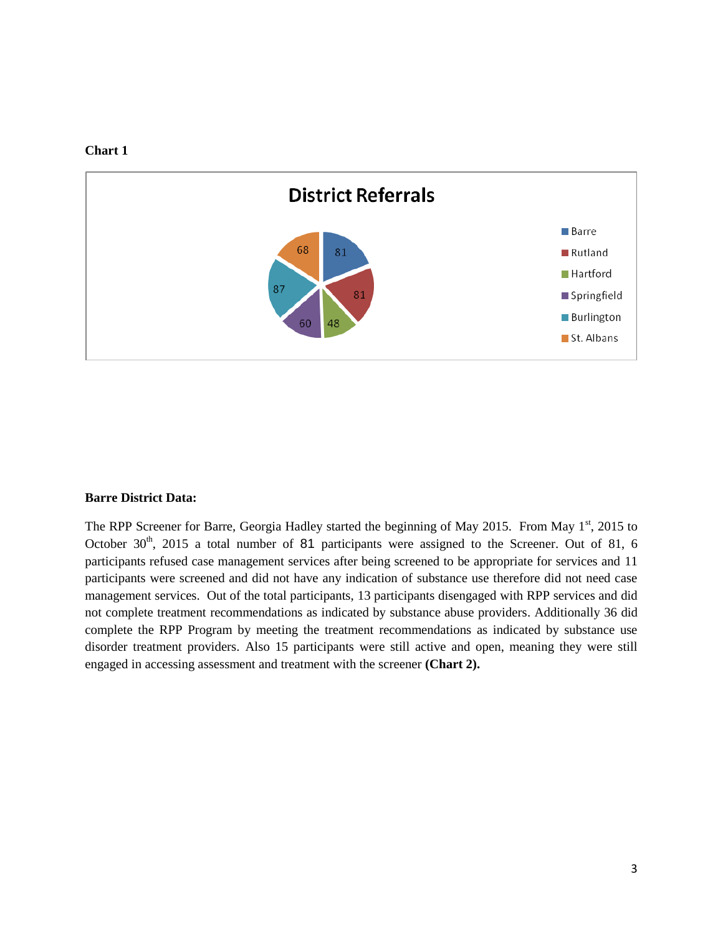



#### **Barre District Data:**

The RPP Screener for Barre, Georgia Hadley started the beginning of May 2015. From May 1<sup>st</sup>, 2015 to October 30<sup>th</sup>, 2015 a total number of 81 participants were assigned to the Screener. Out of 81, 6 participants refused case management services after being screened to be appropriate for services and 11 participants were screened and did not have any indication of substance use therefore did not need case management services. Out of the total participants, 13 participants disengaged with RPP services and did not complete treatment recommendations as indicated by substance abuse providers. Additionally 36 did complete the RPP Program by meeting the treatment recommendations as indicated by substance use disorder treatment providers. Also 15 participants were still active and open, meaning they were still engaged in accessing assessment and treatment with the screener **(Chart 2).**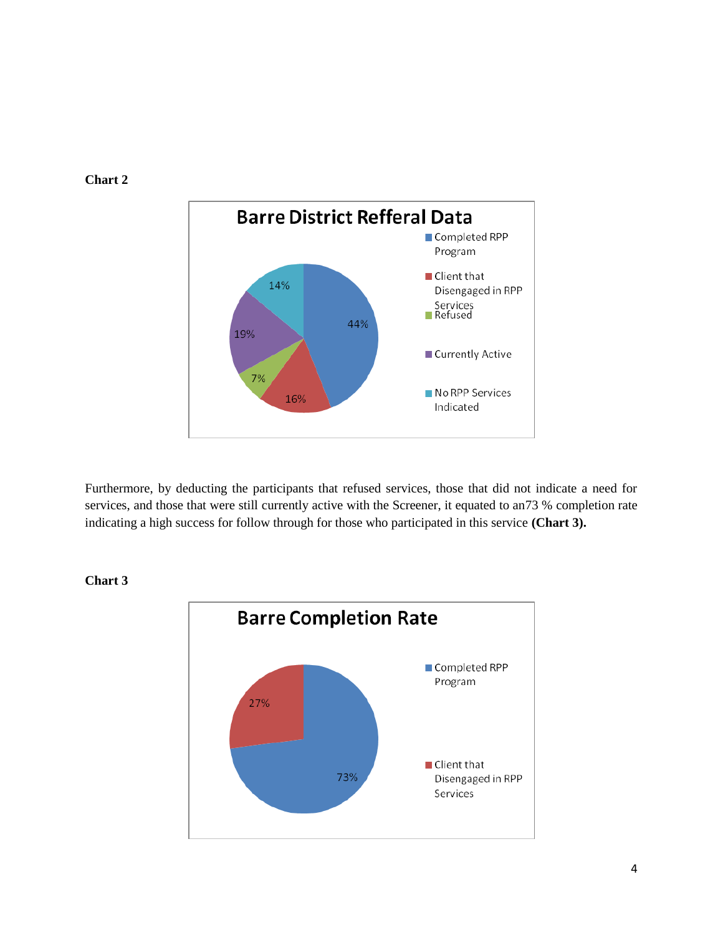

Furthermore, by deducting the participants that refused services, those that did not indicate a need for services, and those that were still currently active with the Screener, it equated to an73 % completion rate indicating a high success for follow through for those who participated in this service **(Chart 3).**



**Chart 3**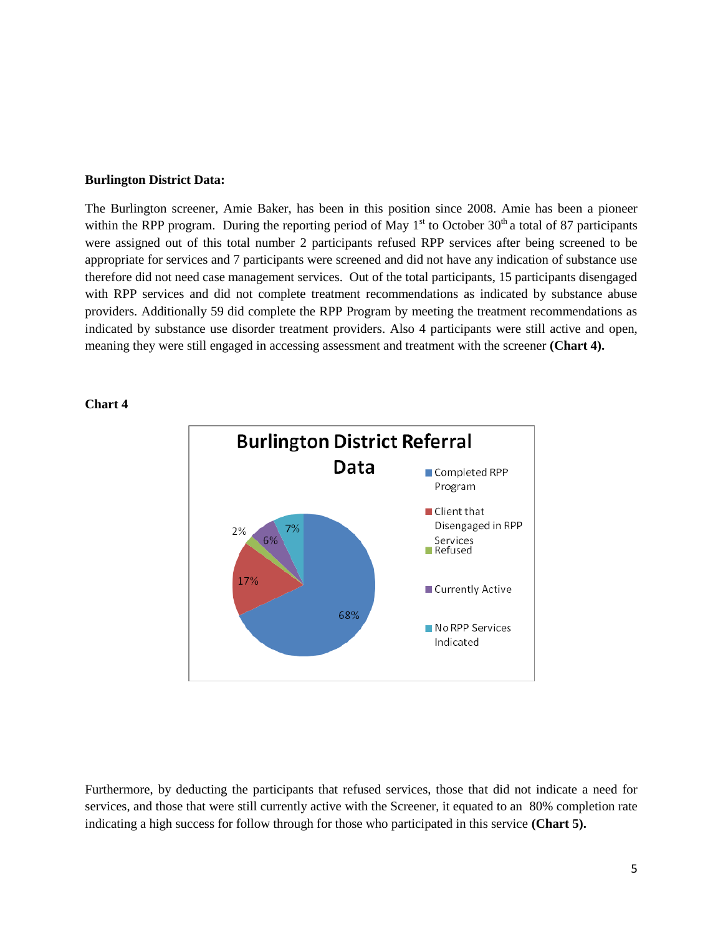#### **Burlington District Data:**

The Burlington screener, Amie Baker, has been in this position since 2008. Amie has been a pioneer within the RPP program. During the reporting period of May  $1<sup>st</sup>$  to October 30<sup>th</sup> a total of 87 participants were assigned out of this total number 2 participants refused RPP services after being screened to be appropriate for services and 7 participants were screened and did not have any indication of substance use therefore did not need case management services. Out of the total participants, 15 participants disengaged with RPP services and did not complete treatment recommendations as indicated by substance abuse providers. Additionally 59 did complete the RPP Program by meeting the treatment recommendations as indicated by substance use disorder treatment providers. Also 4 participants were still active and open, meaning they were still engaged in accessing assessment and treatment with the screener **(Chart 4).**



#### **Chart 4**

Furthermore, by deducting the participants that refused services, those that did not indicate a need for services, and those that were still currently active with the Screener, it equated to an 80% completion rate indicating a high success for follow through for those who participated in this service **(Chart 5).**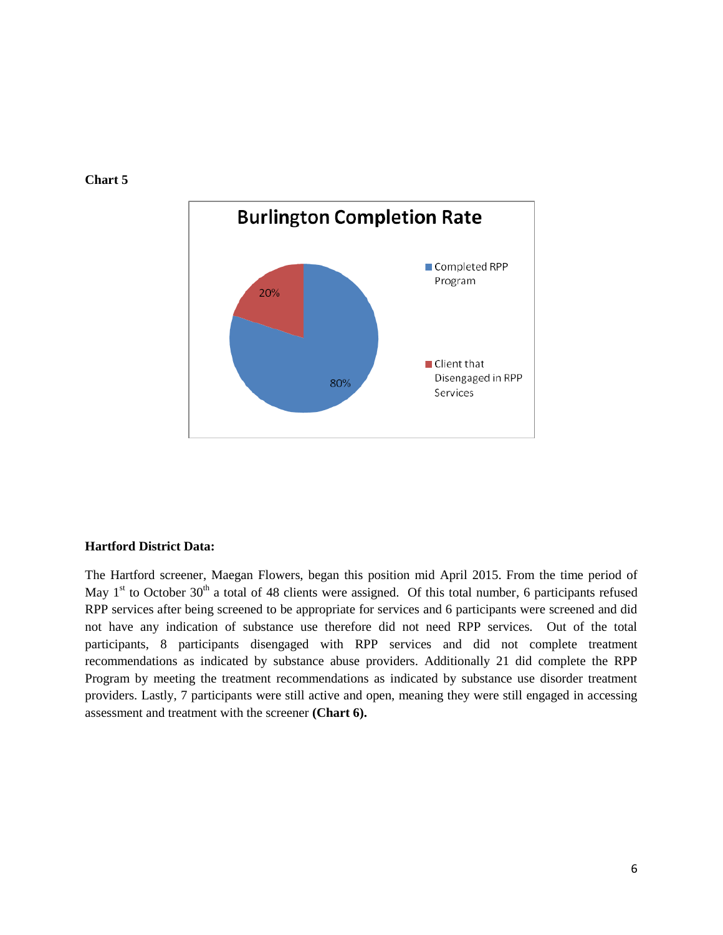

# **Chart 5**

#### **Hartford District Data:**

The Hartford screener, Maegan Flowers, began this position mid April 2015. From the time period of May  $1<sup>st</sup>$  to October 30<sup>th</sup> a total of 48 clients were assigned. Of this total number, 6 participants refused RPP services after being screened to be appropriate for services and 6 participants were screened and did not have any indication of substance use therefore did not need RPP services. Out of the total participants, 8 participants disengaged with RPP services and did not complete treatment recommendations as indicated by substance abuse providers. Additionally 21 did complete the RPP Program by meeting the treatment recommendations as indicated by substance use disorder treatment providers. Lastly, 7 participants were still active and open, meaning they were still engaged in accessing assessment and treatment with the screener **(Chart 6).**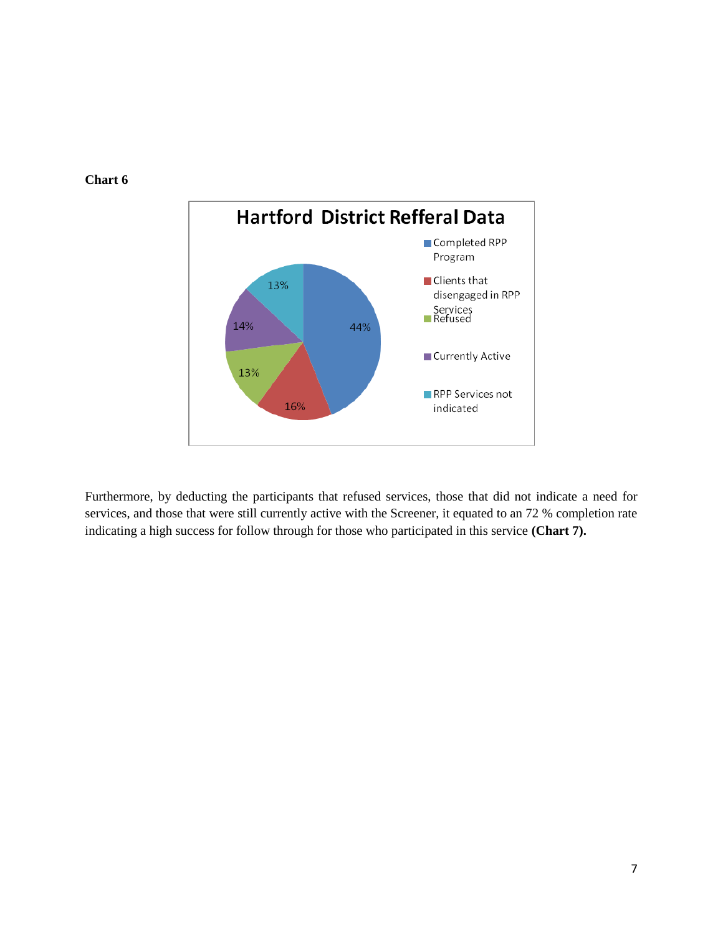



Furthermore, by deducting the participants that refused services, those that did not indicate a need for services, and those that were still currently active with the Screener, it equated to an 72 % completion rate indicating a high success for follow through for those who participated in this service **(Chart 7).**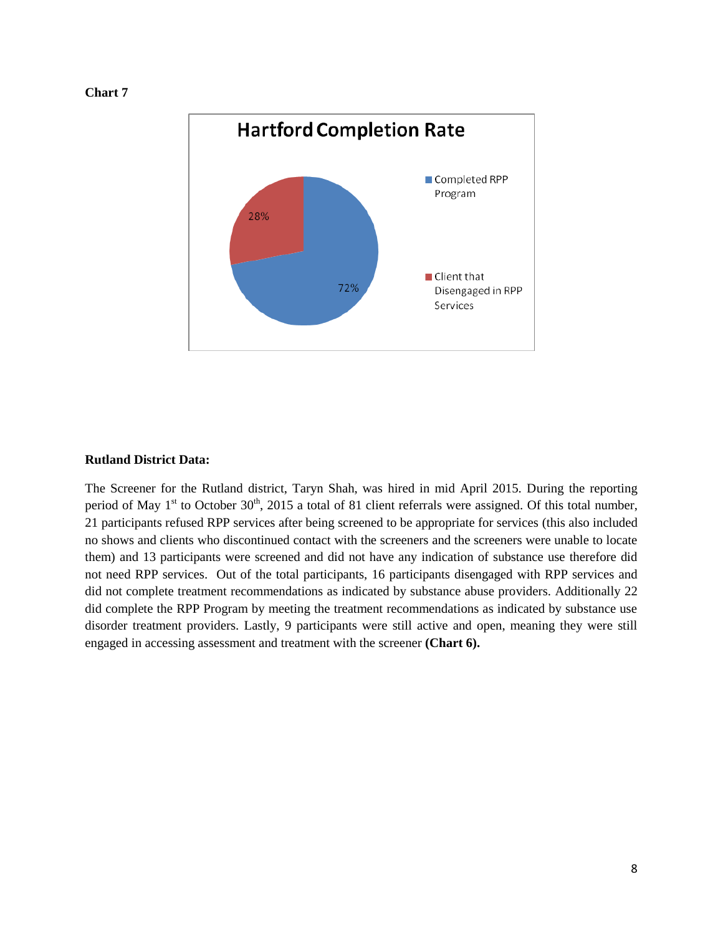



#### **Rutland District Data:**

The Screener for the Rutland district, Taryn Shah, was hired in mid April 2015. During the reporting period of May  $1<sup>st</sup>$  to October 30<sup>th</sup>, 2015 a total of 81 client referrals were assigned. Of this total number, 21 participants refused RPP services after being screened to be appropriate for services (this also included no shows and clients who discontinued contact with the screeners and the screeners were unable to locate them) and 13 participants were screened and did not have any indication of substance use therefore did not need RPP services. Out of the total participants, 16 participants disengaged with RPP services and did not complete treatment recommendations as indicated by substance abuse providers. Additionally 22 did complete the RPP Program by meeting the treatment recommendations as indicated by substance use disorder treatment providers. Lastly, 9 participants were still active and open, meaning they were still engaged in accessing assessment and treatment with the screener **(Chart 6).**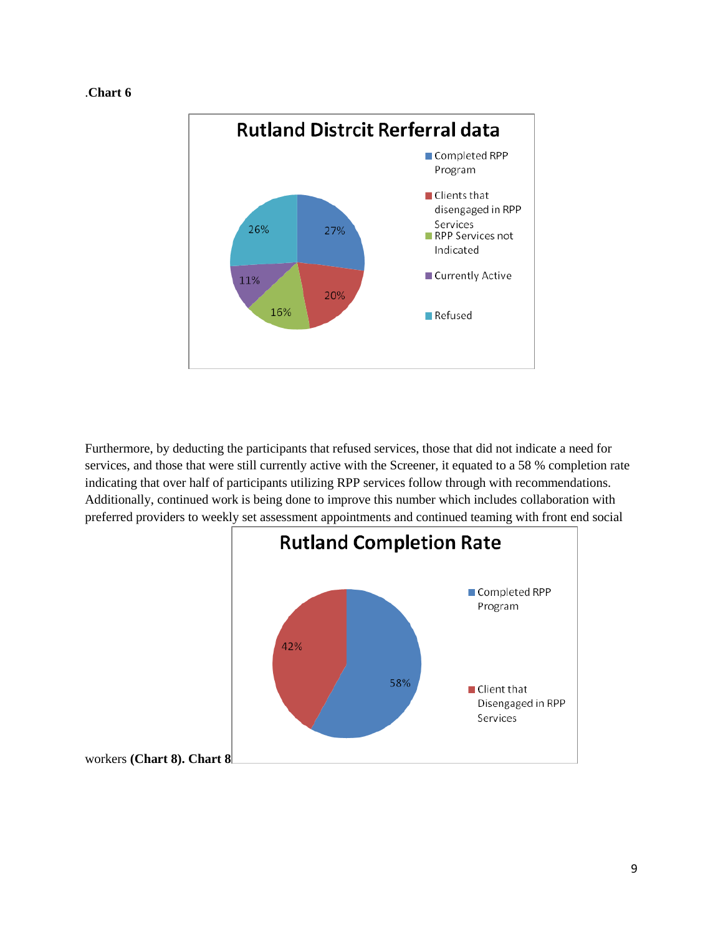#### .**Chart 6**



Furthermore, by deducting the participants that refused services, those that did not indicate a need for services, and those that were still currently active with the Screener, it equated to a 58 % completion rate indicating that over half of participants utilizing RPP services follow through with recommendations. Additionally, continued work is being done to improve this number which includes collaboration with preferred providers to weekly set assessment appointments and continued teaming with front end social

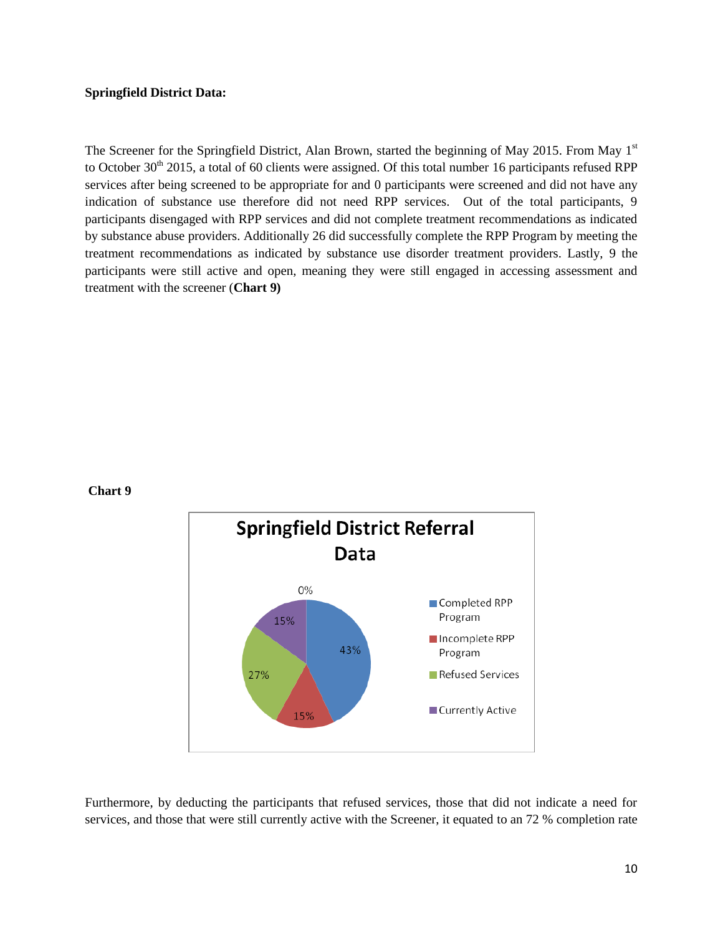#### **Springfield District Data:**

The Screener for the Springfield District, Alan Brown, started the beginning of May 2015. From May 1<sup>st</sup> to October  $30<sup>th</sup>$  2015, a total of 60 clients were assigned. Of this total number 16 participants refused RPP services after being screened to be appropriate for and 0 participants were screened and did not have any indication of substance use therefore did not need RPP services. Out of the total participants, 9 participants disengaged with RPP services and did not complete treatment recommendations as indicated by substance abuse providers. Additionally 26 did successfully complete the RPP Program by meeting the treatment recommendations as indicated by substance use disorder treatment providers. Lastly, 9 the participants were still active and open, meaning they were still engaged in accessing assessment and treatment with the screener (**Chart 9)**

#### **Chart 9**



Furthermore, by deducting the participants that refused services, those that did not indicate a need for services, and those that were still currently active with the Screener, it equated to an 72 % completion rate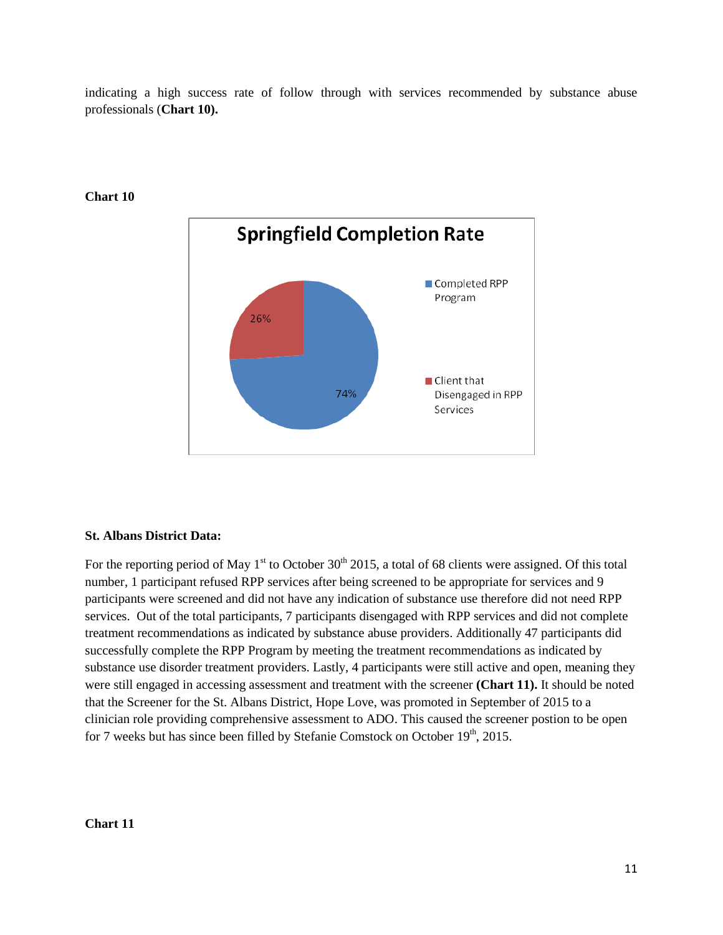indicating a high success rate of follow through with services recommended by substance abuse professionals (**Chart 10).**



**Chart 10**

# **St. Albans District Data:**

For the reporting period of May 1<sup>st</sup> to October 30<sup>th</sup> 2015, a total of 68 clients were assigned. Of this total number, 1 participant refused RPP services after being screened to be appropriate for services and 9 participants were screened and did not have any indication of substance use therefore did not need RPP services. Out of the total participants, 7 participants disengaged with RPP services and did not complete treatment recommendations as indicated by substance abuse providers. Additionally 47 participants did successfully complete the RPP Program by meeting the treatment recommendations as indicated by substance use disorder treatment providers. Lastly, 4 participants were still active and open, meaning they were still engaged in accessing assessment and treatment with the screener **(Chart 11).** It should be noted that the Screener for the St. Albans District, Hope Love, was promoted in September of 2015 to a clinician role providing comprehensive assessment to ADO. This caused the screener postion to be open for 7 weeks but has since been filled by Stefanie Comstock on October  $19<sup>th</sup>$ , 2015.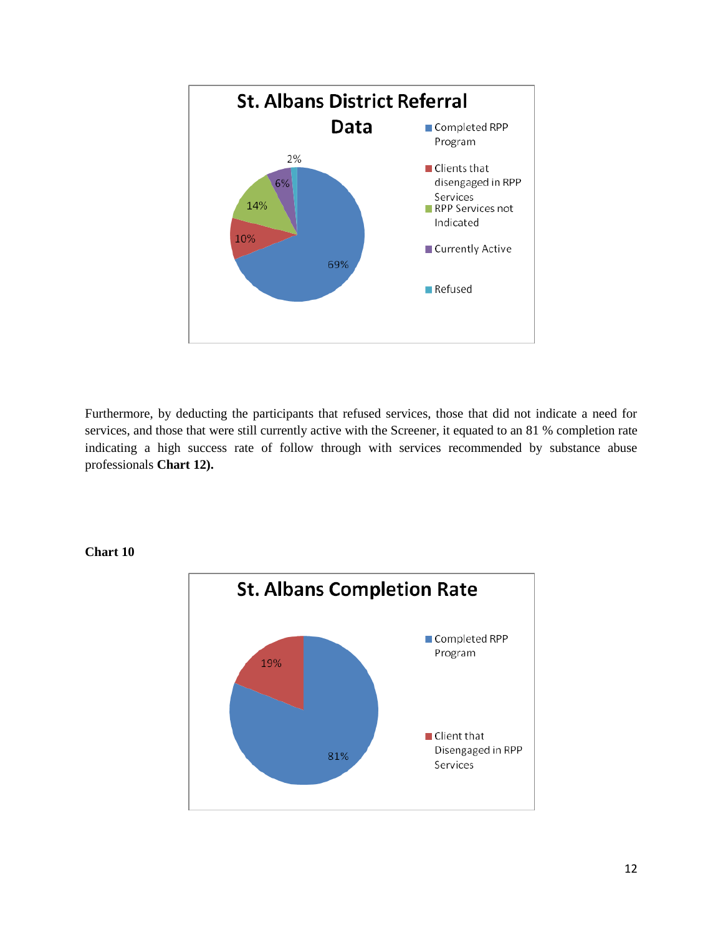

Furthermore, by deducting the participants that refused services, those that did not indicate a need for services, and those that were still currently active with the Screener, it equated to an 81 % completion rate indicating a high success rate of follow through with services recommended by substance abuse professionals **Chart 12).**

**Chart 10**